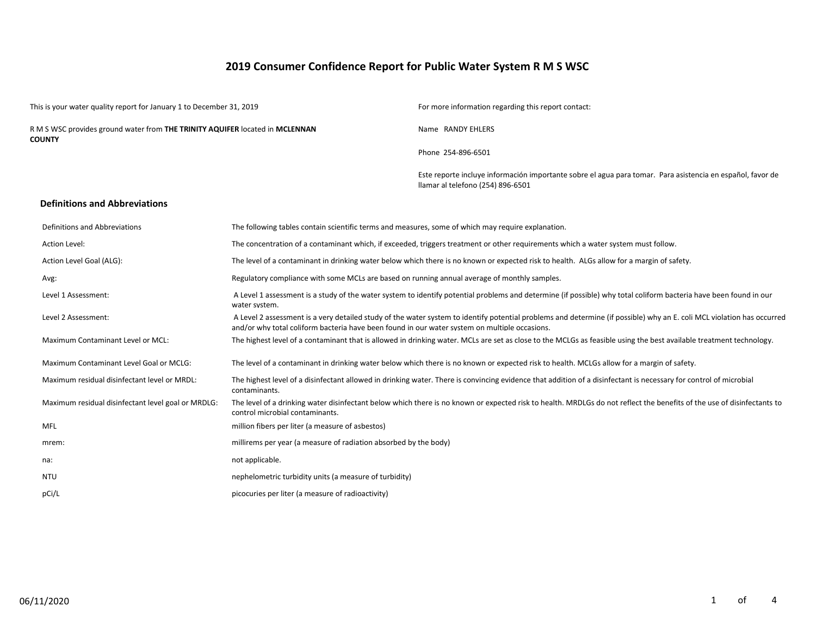# **2019 Consumer Confidence Report for Public Water System R M S WSC**

|      | This is your water quality report for January 1 to December 31, 2019                   |                                                                                                    | For more information regarding this report contact:                                                                                                                    |  |  |  |  |  |
|------|----------------------------------------------------------------------------------------|----------------------------------------------------------------------------------------------------|------------------------------------------------------------------------------------------------------------------------------------------------------------------------|--|--|--|--|--|
|      | R M S WSC provides ground water from THE TRINITY AQUIFER located in MCLENNAN<br>COUNTY |                                                                                                    | Name RANDY EHLERS                                                                                                                                                      |  |  |  |  |  |
|      |                                                                                        |                                                                                                    | Phone 254-896-6501                                                                                                                                                     |  |  |  |  |  |
|      |                                                                                        |                                                                                                    | Este reporte incluye información importante sobre el agua para tomar. Para asistencia en español, favor de<br>llamar al telefono (254) 896-6501                        |  |  |  |  |  |
|      | <b>Definitions and Abbreviations</b>                                                   |                                                                                                    |                                                                                                                                                                        |  |  |  |  |  |
|      | Definitions and Abbreviations                                                          | The following tables contain scientific terms and measures, some of which may require explanation. |                                                                                                                                                                        |  |  |  |  |  |
|      | <b>Action Level:</b>                                                                   |                                                                                                    | The concentration of a contaminant which, if exceeded, triggers treatment or other requirements which a water system must follow.                                      |  |  |  |  |  |
|      | Action Level Goal (ALG):                                                               |                                                                                                    | The level of a contaminant in drinking water below which there is no known or expected risk to health. ALGs allow for a margin of safety.                              |  |  |  |  |  |
| Avg: |                                                                                        | Regulatory compliance with some MCLs are based on running annual average of monthly samples.       |                                                                                                                                                                        |  |  |  |  |  |
|      | Level 1 Assessment:                                                                    | water system.                                                                                      | A Level 1 assessment is a study of the water system to identify potential problems and determine (if possible) why total coliform bacteria have been found in our      |  |  |  |  |  |
|      | Level 2 Assessment:                                                                    | and/or why total coliform bacteria have been found in our water system on multiple occasions.      | A Level 2 assessment is a very detailed study of the water system to identify potential problems and determine (if possible) why an E. coli MCL violation has occurred |  |  |  |  |  |
|      | Maximum Contaminant Level or MCL:                                                      |                                                                                                    | The highest level of a contaminant that is allowed in drinking water. MCLs are set as close to the MCLGs as feasible using the best available treatment technology.    |  |  |  |  |  |
|      | Maximum Contaminant Level Goal or MCLG:                                                |                                                                                                    | The level of a contaminant in drinking water below which there is no known or expected risk to health. MCLGs allow for a margin of safety.                             |  |  |  |  |  |
|      | Maximum residual disinfectant level or MRDL:                                           | contaminants.                                                                                      | The highest level of a disinfectant allowed in drinking water. There is convincing evidence that addition of a disinfectant is necessary for control of microbial      |  |  |  |  |  |
|      | Maximum residual disinfectant level goal or MRDLG:                                     | control microbial contaminants.                                                                    | The level of a drinking water disinfectant below which there is no known or expected risk to health. MRDLGs do not reflect the benefits of the use of disinfectants to |  |  |  |  |  |
|      | <b>MFL</b>                                                                             | million fibers per liter (a measure of asbestos)                                                   |                                                                                                                                                                        |  |  |  |  |  |
|      | mrem:                                                                                  | millirems per year (a measure of radiation absorbed by the body)                                   |                                                                                                                                                                        |  |  |  |  |  |
|      | na:                                                                                    | not applicable.                                                                                    |                                                                                                                                                                        |  |  |  |  |  |
|      | <b>NTU</b>                                                                             | nephelometric turbidity units (a measure of turbidity)                                             |                                                                                                                                                                        |  |  |  |  |  |
|      | pCi/L                                                                                  | picocuries per liter (a measure of radioactivity)                                                  |                                                                                                                                                                        |  |  |  |  |  |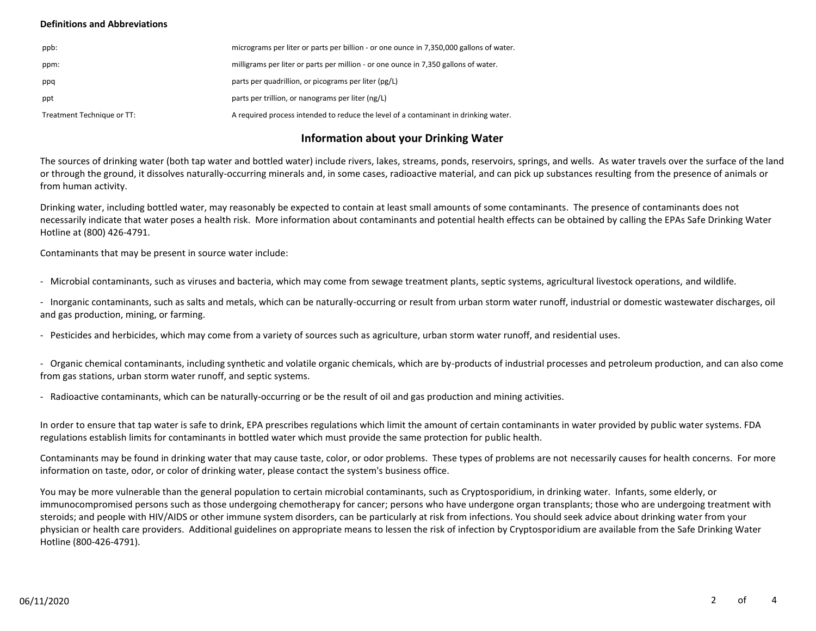### **Definitions and Abbreviations**

| ppb:                       | micrograms per liter or parts per billion - or one ounce in 7,350,000 gallons of water. |
|----------------------------|-----------------------------------------------------------------------------------------|
| ppm:                       | milligrams per liter or parts per million - or one ounce in 7,350 gallons of water.     |
| ppq                        | parts per quadrillion, or picograms per liter (pg/L)                                    |
| ppt                        | parts per trillion, or nanograms per liter (ng/L)                                       |
| Treatment Technique or TT: | A required process intended to reduce the level of a contaminant in drinking water.     |

## **Information about your Drinking Water**

The sources of drinking water (both tap water and bottled water) include rivers, lakes, streams, ponds, reservoirs, springs, and wells. As water travels over the surface of the land or through the ground, it dissolves naturally-occurring minerals and, in some cases, radioactive material, and can pick up substances resulting from the presence of animals or from human activity.

Drinking water, including bottled water, may reasonably be expected to contain at least small amounts of some contaminants. The presence of contaminants does not necessarily indicate that water poses a health risk. More information about contaminants and potential health effects can be obtained by calling the EPAs Safe Drinking Water Hotline at (800) 426-4791.

Contaminants that may be present in source water include:

- Microbial contaminants, such as viruses and bacteria, which may come from sewage treatment plants, septic systems, agricultural livestock operations, and wildlife.

- Inorganic contaminants, such as salts and metals, which can be naturally-occurring or result from urban storm water runoff, industrial or domestic wastewater discharges, oil and gas production, mining, or farming.

- Pesticides and herbicides, which may come from a variety of sources such as agriculture, urban storm water runoff, and residential uses.

- Organic chemical contaminants, including synthetic and volatile organic chemicals, which are by-products of industrial processes and petroleum production, and can also come from gas stations, urban storm water runoff, and septic systems.

- Radioactive contaminants, which can be naturally-occurring or be the result of oil and gas production and mining activities.

In order to ensure that tap water is safe to drink, EPA prescribes regulations which limit the amount of certain contaminants in water provided by public water systems. FDA regulations establish limits for contaminants in bottled water which must provide the same protection for public health.

Contaminants may be found in drinking water that may cause taste, color, or odor problems. These types of problems are not necessarily causes for health concerns. For more information on taste, odor, or color of drinking water, please contact the system's business office.

You may be more vulnerable than the general population to certain microbial contaminants, such as Cryptosporidium, in drinking water. Infants, some elderly, or immunocompromised persons such as those undergoing chemotherapy for cancer; persons who have undergone organ transplants; those who are undergoing treatment with steroids; and people with HIV/AIDS or other immune system disorders, can be particularly at risk from infections. You should seek advice about drinking water from your physician or health care providers. Additional guidelines on appropriate means to lessen the risk of infection by Cryptosporidium are available from the Safe Drinking Water Hotline (800-426-4791).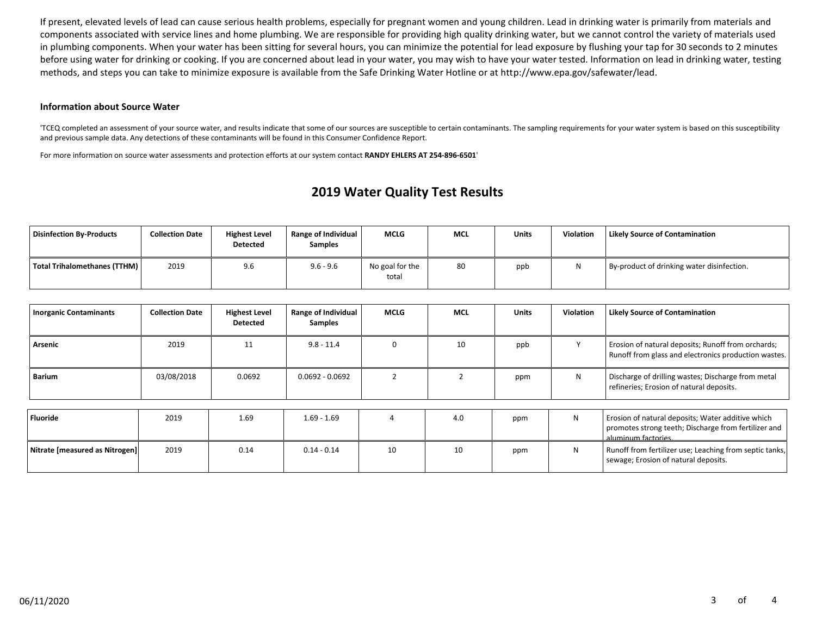If present, elevated levels of lead can cause serious health problems, especially for pregnant women and young children. Lead in drinking water is primarily from materials and components associated with service lines and home plumbing. We are responsible for providing high quality drinking water, but we cannot control the variety of materials used in plumbing components. When your water has been sitting for several hours, you can minimize the potential for lead exposure by flushing your tap for 30 seconds to 2 minutes before using water for drinking or cooking. If you are concerned about lead in your water, you may wish to have your water tested. Information on lead in drinking water, testing methods, and steps you can take to minimize exposure is available from the Safe Drinking Water Hotline or at http://www.epa.gov/safewater/lead.

#### **Information about Source Water**

'TCEQ completed an assessment of your source water, and results indicate that some of our sources are susceptible to certain contaminants. The sampling requirements for your water system is based on this susceptibility and previous sample data. Any detections of these contaminants will be found in this Consumer Confidence Report.

For more information on source water assessments and protection efforts at our system contact **RANDY EHLERS AT 254-896-6501**'

# **2019 Water Quality Test Results**

| Disinfection By-Products     | <b>Collection Date</b> | <b>Highest Level</b><br><b>Detected</b> | <b>Range of Individual</b><br><b>Samples</b> | <b>MCLG</b>              | MCL | <b>Units</b> | <b>Violation</b> | <b>Likely Source of Contamination</b>      |
|------------------------------|------------------------|-----------------------------------------|----------------------------------------------|--------------------------|-----|--------------|------------------|--------------------------------------------|
| Total Trihalomethanes (TTHM) | 2019                   | 9.6                                     | $9.6 - 9.6$                                  | No goal for the<br>total | 80  | ppb          |                  | By-product of drinking water disinfection. |

| <b>Inorganic Contaminants</b>  | <b>Collection Date</b> | <b>Highest Level</b><br><b>Detected</b> | Range of Individual<br>Samples | MCLG     | <b>MCL</b> | <b>Units</b> | <b>Violation</b> | <b>Likely Source of Contamination</b>                                                                                            |
|--------------------------------|------------------------|-----------------------------------------|--------------------------------|----------|------------|--------------|------------------|----------------------------------------------------------------------------------------------------------------------------------|
| Arsenic                        | 2019                   | 11                                      | $9.8 - 11.4$                   | $\Omega$ | 10         | ppb          |                  | Erosion of natural deposits; Runoff from orchards;<br>Runoff from glass and electronics production wastes.                       |
| <b>Barium</b>                  | 03/08/2018             | 0.0692                                  | $0.0692 - 0.0692$              |          |            | ppm          | N                | Discharge of drilling wastes; Discharge from metal<br>refineries; Erosion of natural deposits.                                   |
|                                |                        |                                         |                                |          |            |              |                  |                                                                                                                                  |
| <b>Fluoride</b>                | 2019                   | 1.69                                    | $1.69 - 1.69$                  |          | 4.0        | ppm          | N                | Erosion of natural deposits; Water additive which<br>promotes strong teeth; Discharge from fertilizer and<br>aluminum factories. |
| Nitrate [measured as Nitrogen] | 2019                   | 0.14                                    | $0.14 - 0.14$                  | 10       | 10         | ppm          | N                | Runoff from fertilizer use; Leaching from septic tanks,<br>sewage; Erosion of natural deposits.                                  |